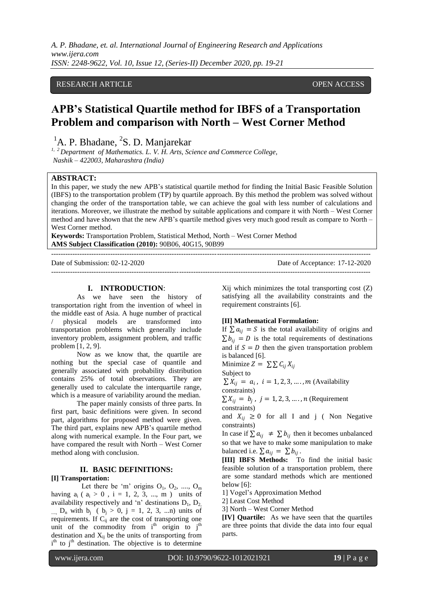*A. P. Bhadane, et. al. International Journal of Engineering Research and Applications www.ijera.com ISSN: 2248-9622, Vol. 10, Issue 12, (Series-II) December 2020, pp. 19-21*

## RESEARCH ARTICLE **CONSERVERS** OPEN ACCESS

# **APB's Statistical Quartile method for IBFS of a Transportation Problem and comparison with North – West Corner Method**

<sup>1</sup>A. P. Bhadane, <sup>2</sup>S. D. Manjarekar

*1, 2 Department of Mathematics. L. V. H. Arts, Science and Commerce College, Nashik – 422003, Maharashtra (India)*

## **ABSTRACT:**

In this paper, we study the new APB"s statistical quartile method for finding the Initial Basic Feasible Solution (IBFS) to the transportation problem (TP) by quartile approach. By this method the problem was solved without changing the order of the transportation table, we can achieve the goal with less number of calculations and iterations. Moreover, we illustrate the method by suitable applications and compare it with North – West Corner method and have shown that the new APB"s quartile method gives very much good result as compare to North – West Corner method.

**Keywords:** Transportation Problem, Statistical Method, North – West Corner Method **AMS Subject Classification (2010):** 90B06, 40G15, 90B99

--------------------------------------------------------------------------------------------------------------------------------------- Date of Submission: 02-12-2020 Date of Acceptance: 17-12-2020 ---------------------------------------------------------------------------------------------------------------------------------------

#### **I. INTRODUCTION**:

As we have seen the history of transportation right from the invention of wheel in the middle east of Asia. A huge number of practical / physical models are transformed into transportation problems which generally include inventory problem, assignment problem, and traffic problem [1, 2, 9].

Now as we know that, the quartile are nothing but the special case of quantile and generally associated with probability distribution contains 25% of total observations. They are generally used to calculate the interquartile range, which is a measure of variability around the median.

The paper mainly consists of three parts. In first part, basic definitions were given. In second part, algorithms for proposed method were given. The third part, explains new APB"s quartile method along with numerical example. In the Four part, we have compared the result with North – West Corner method along with conclusion.

## **II. BASIC DEFINITIONS:**

**[I] Transportation:** 

Let there be 'm' origins  $O_1$ ,  $O_2$ , ....,  $O_m$ having  $a_i$  (  $a_i > 0$ ,  $i = 1, 2, 3, ..., m$ ) units of availability respectively and 'n' destinations  $D_1, D_2$ ...,  $D_n$  with  $b_i$  (  $b_i > 0$ ,  $j = 1, 2, 3, ...$ n) units of requirements. If  $C_{ii}$  are the cost of transporting one unit of the commodity from  $i<sup>th</sup>$  origin to  $j<sup>th</sup>$ destination and  $X_{ii}$  be the units of transporting from  $i<sup>th</sup>$  to  $j<sup>th</sup>$  destination. The objective is to determine Xij which minimizes the total transporting cost (Z) satisfying all the availability constraints and the requirement constraints [6].

#### **[II] Mathematical Formulation:**

If  $\sum a_{ij} = S$  is the total availability of origins and  $\sum b_{ij} = D$  is the total requirements of destinations and if  $S = D$  then the given transportation problem is balanced [6].

Minimize 
$$
Z = \sum \sum C_{ij} X_{ij}
$$

Subject to

$$
\sum X_{ij} = a_i
$$
,  $i = 1, 2, 3, ..., m$  (Availability constraints)

 $\sum X_{ij} = b_j$ ,  $j = 1, 2, 3, ..., n$  (Requirement constraints)

and  $X_{ij} \geq 0$  for all I and j ( Non Negative constraints)

In case if  $\sum a_{ij} \neq \sum b_{ij}$  then it becomes unbalanced so that we have to make some manipulation to make balanced i.e.  $\sum a_{ij} = \sum b_{ij}$ .

**[III] IBFS Methods:** To find the initial basic feasible solution of a transportation problem, there are some standard methods which are mentioned below [6]:

1] Vogel"s Approximation Method

2] Least Cost Method

3] North – West Corner Method

**[IV] Quartile:** As we have seen that the quartiles are three points that divide the data into four equal parts.

l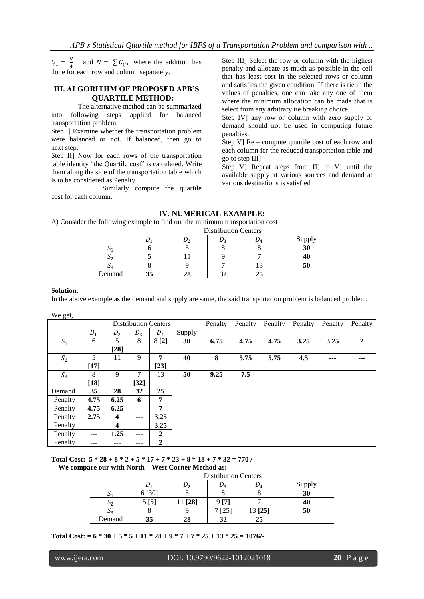$Q_1 = \frac{N}{4}$  $\frac{N}{4}$  and  $N = \sum C_{ij}$ , where the addition has done for each row and column separately.

## **III. ALGORITHM OF PROPOSED APB'S QUARTILE METHOD:**

 The alternative method can be summarized into following steps applied for balanced transportation problem.

Step I] Examine whether the transportation problem were balanced or not. If balanced, then go to next step.

Step II] Now for each rows of the transportation table identity "the Quartile cost" is calculated. Write them along the side of the transportation table which is to be considered as Penalty.

Similarly compute the quartile cost for each column.

Step III] Select the row or column with the highest penalty and allocate as much as possible in the cell that has least cost in the selected rows or column and satisfies the given condition. If there is tie in the values of penalties, one can take any one of them where the minimum allocation can be made that is select from any arbitrary tie breaking choice.

Step IV] any row or column with zero supply or demand should not be used in computing future penalties.

Step V] Re – compute quartile cost of each row and each column for the reduced transportation table and go to step III].

Step V] Repeat steps from II] to V] until the available supply at various sources and demand at various destinations is satisfied

## **IV. NUMERICAL EXAMPLE:**

A) Consider the following example to find out the minimum transportation cost

|        | <b>Distribution Centers</b> |  |  |    |        |  |  |
|--------|-----------------------------|--|--|----|--------|--|--|
|        |                             |  |  |    | Supply |  |  |
|        |                             |  |  |    |        |  |  |
|        |                             |  |  |    |        |  |  |
|        |                             |  |  |    |        |  |  |
| Demand |                             |  |  | 25 |        |  |  |

#### **Solution**:

In the above example as the demand and supply are same, the said transportation problem is balanced problem.

We get,

| Ê       | <b>Distribution Centers</b> |                         |        | Penalty        | Penalty | Penalty | Penalty | Penalty | Penalty |      |                |
|---------|-----------------------------|-------------------------|--------|----------------|---------|---------|---------|---------|---------|------|----------------|
|         | D <sub>1</sub>              | D <sub>2</sub>          | $D_3$  | $D_4$          | Supply  |         |         |         |         |      |                |
| $S_1$   | 6                           | 5                       | 8      | 8 [2]          | 30      | 6.75    | 4.75    | 4.75    | 3.25    | 3.25 | $\overline{2}$ |
|         |                             | $[28]$                  |        |                |         |         |         |         |         |      |                |
| $S_2$   | 5                           | 11                      | 9      | 7              | 40      | 8       | 5.75    | 5.75    | 4.5     | ---  |                |
|         | $[17]$                      |                         |        | $[23]$         |         |         |         |         |         |      |                |
| $S_3$   | 8                           | 9                       | 7      | 13             | 50      | 9.25    | 7.5     | ---     | ---     | ---  |                |
|         | $[18]$                      |                         | $[32]$ |                |         |         |         |         |         |      |                |
| Demand  | 35                          | 28                      | 32     | 25             |         |         |         |         |         |      |                |
| Penalty | 4.75                        | 6.25                    | 6      | 7              |         |         |         |         |         |      |                |
| Penalty | 4.75                        | 6.25                    | $--$   | 7              |         |         |         |         |         |      |                |
| Penalty | 2.75                        | $\overline{\mathbf{4}}$ | $--$   | 3.25           |         |         |         |         |         |      |                |
| Penalty | ---                         | $\overline{\mathbf{4}}$ | $--$   | 3.25           |         |         |         |         |         |      |                |
| Penalty | ---                         | 1.25                    | $--$   | $\overline{2}$ |         |         |         |         |         |      |                |
| Penalty | ---                         | ---                     | ---    | $\mathbf{2}$   |         |         |         |         |         |      |                |

**Total Cost: 5 \* 28 + 8 \* 2 + 5 \* 17 + 7 \* 23 + 8 \* 18 + 7 \* 32 = 770 /- We compare our with North – West Corner Method as;**

|        | <b>Distribution Centers</b> |         |       |         |        |  |  |  |
|--------|-----------------------------|---------|-------|---------|--------|--|--|--|
|        |                             |         |       | ג ע     | Supply |  |  |  |
|        | $\sqrt{30}$                 |         |       |         | 30     |  |  |  |
|        | 5 [5]                       | 11 [28] | 0 I 7 |         | 40     |  |  |  |
|        |                             |         | [25]  | 13 [25] | 50     |  |  |  |
| Demand | 35                          | 28      |       | 25      |        |  |  |  |

**Total Cost: = 6 \* 30 + 5 \* 5 + 11 \* 28 + 9 \* 7 + 7 \* 25 + 13 \* 25 = 1076/-**

l